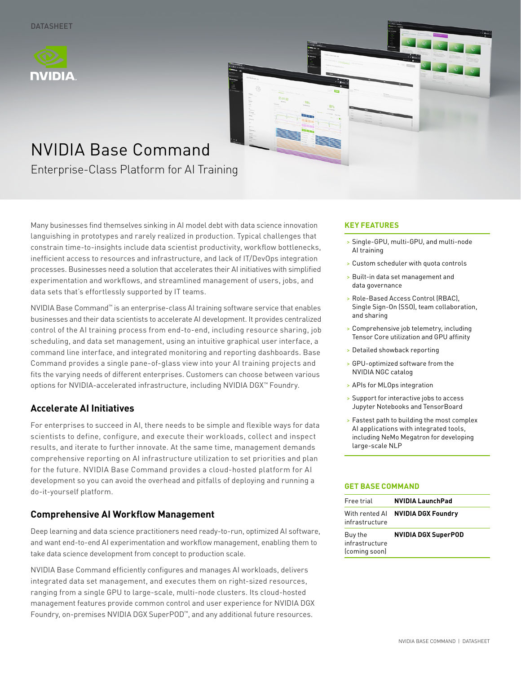



# NVIDIA Base Command

Enterprise-Class Platform for AI Training

Many businesses find themselves sinking in AI model debt with data science innovation languishing in prototypes and rarely realized in production. Typical challenges that constrain time-to-insights include data scientist productivity, workflow bottlenecks, inefficient access to resources and infrastructure, and lack of IT/DevOps integration processes. Businesses need a solution that accelerates their AI initiatives with simplified experimentation and workflows, and streamlined management of users, jobs, and data sets that's effortlessly supported by IT teams.

NVIDIA Base Command™ is an enterprise-class AI training software service that enables businesses and their data scientists to accelerate AI development. It provides centralized control of the AI training process from end-to-end, including resource sharing, job scheduling, and data set management, using an intuitive graphical user interface, a command line interface, and integrated monitoring and reporting dashboards. Base Command provides a single pane-of-glass view into your AI training projects and fits the varying needs of different enterprises. Customers can choose between various options for NVIDIA-accelerated infrastructure, including NVIDIA DGX™ Foundry.

# **Accelerate AI Initiatives**

For enterprises to succeed in AI, there needs to be simple and flexible ways for data scientists to define, configure, and execute their workloads, collect and inspect results, and iterate to further innovate. At the same time, management demands comprehensive reporting on AI infrastructure utilization to set priorities and plan for the future. NVIDIA Base Command provides a cloud-hosted platform for AI development so you can avoid the overhead and pitfalls of deploying and running a do-it-yourself platform.

### **Comprehensive AI Workflow Management**

Deep learning and data science practitioners need ready-to-run, optimized AI software, and want end-to-end AI experimentation and workflow management, enabling them to take data science development from concept to production scale.

NVIDIA Base Command efficiently configures and manages AI workloads, delivers integrated data set management, and executes them on right-sized resources, ranging from a single GPU to large-scale, multi-node clusters. Its cloud-hosted management features provide common control and user experience for NVIDIA DGX Foundry, on-premises NVIDIA DGX SuperPOD™, and any additional future resources.

#### **KEY FEATURES**

- > Single-GPU, multi-GPU, and multi-node AI training
- > Custom scheduler with quota controls
- > Built-in data set management and data governance
- > Role-Based Access Control (RBAC), Single Sign-On (SSO), team collaboration, and sharing
- > Comprehensive job telemetry, including Tensor Core utilization and GPU affinity
- > Detailed showback reporting
- > GPU-optimized software from the NVIDIA NGC catalog
- > APIs for MLOps integration
- > Support for interactive jobs to access Jupyter Notebooks and TensorBoard
- > Fastest path to building the most complex AI applications with integrated tools, including NeMo Megatron for developing large-scale NLP

#### **GET BASE COMMAND**

| Free trial                                 | <b>NVIDIA LaunchPad</b>                  |
|--------------------------------------------|------------------------------------------|
| infrastructure                             | With rented Al <b>NVIDIA DGX Foundry</b> |
| Buy the<br>infrastructure<br>(coming soon) | <b>NVIDIA DGX SuperPOD</b>               |